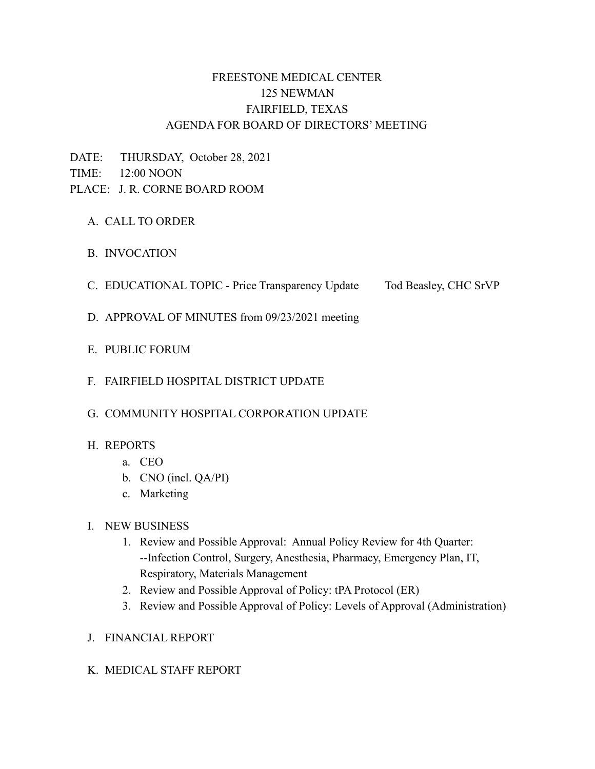# FREESTONE MEDICAL CENTER 125 NEWMAN FAIRFIELD, TEXAS AGENDA FOR BOARD OF DIRECTORS' MEETING

DATE: THURSDAY, October 28, 2021 TIME: 12:00 NOON PLACE: J. R. CORNE BOARD ROOM

- A. CALL TO ORDER
- B. INVOCATION
- C. EDUCATIONAL TOPIC Price Transparency Update Tod Beasley, CHC SrVP
- D. APPROVAL OF MINUTES from 09/23/2021 meeting
- E. PUBLIC FORUM
- F. FAIRFIELD HOSPITAL DISTRICT UPDATE
- G. COMMUNITY HOSPITAL CORPORATION UPDATE

#### H. REPORTS

- a. CEO
- b. CNO (incl. QA/PI)
- c. Marketing

#### I. NEW BUSINESS

- 1. Review and Possible Approval: Annual Policy Review for 4th Quarter: --Infection Control, Surgery, Anesthesia, Pharmacy, Emergency Plan, IT, Respiratory, Materials Management
- 2. Review and Possible Approval of Policy: tPA Protocol (ER)
- 3. Review and Possible Approval of Policy: Levels of Approval (Administration)
- J. FINANCIAL REPORT
- K. MEDICAL STAFF REPORT